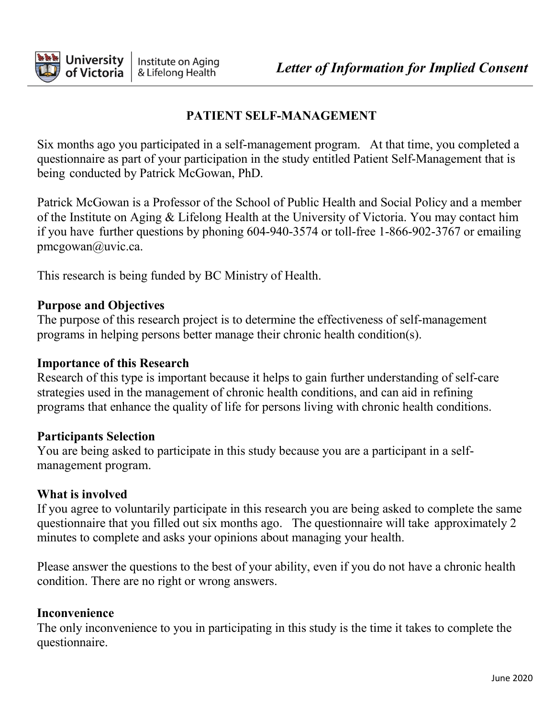

## **PATIENT SELF-MANAGEMENT**

Six months ago you participated in a self-management program. At that time, you completed a questionnaire as part of your participation in the study entitled Patient Self-Management that is being conducted by Patrick McGowan, PhD.

Patrick McGowan is a Professor of the School of Public Health and Social Policy and a member of the Institute on Aging & Lifelong Health at the University of Victoria. You may contact him if you have further questions by phoning 604-940-3574 or toll-free 1-866-902-3767 or emailin[g](mailto:pmcgowan@uvic.ca) [pmcgowan@uvic.ca.](mailto:pmcgowan@uvic.ca)

This research is being funded by BC Ministry of Health.

### **Purpose and Objectives**

The purpose of this research project is to determine the effectiveness of self-management programs in helping persons better manage their chronic health condition(s).

#### **Importance of this Research**

Research of this type is important because it helps to gain further understanding of self-care strategies used in the management of chronic health conditions, and can aid in refining programs that enhance the quality of life for persons living with chronic health conditions.

#### **Participants Selection**

You are being asked to participate in this study because you are a participant in a selfmanagement program.

### **What is involved**

If you agree to voluntarily participate in this research you are being asked to complete the same questionnaire that you filled out six months ago. The questionnaire will take approximately 2 minutes to complete and asks your opinions about managing your health.

Please answer the questions to the best of your ability, even if you do not have a chronic health condition. There are no right or wrong answers.

### **Inconvenience**

The only inconvenience to you in participating in this study is the time it takes to complete the questionnaire.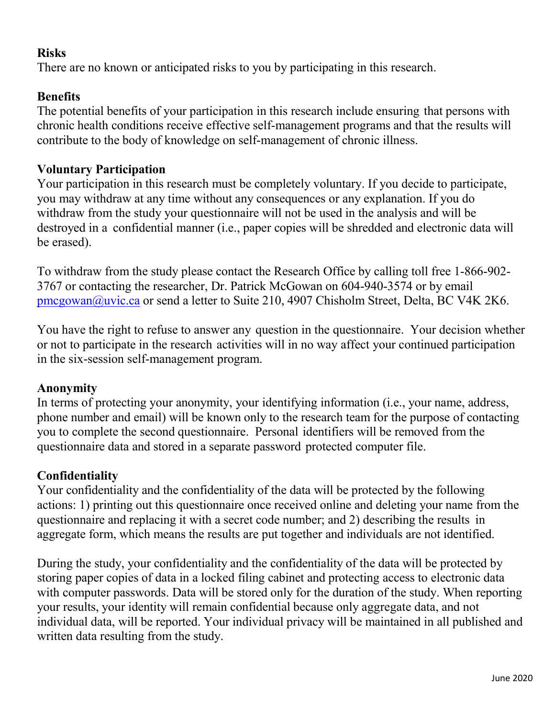### **Risks**

There are no known or anticipated risks to you by participating in this research.

## **Benefits**

The potential benefits of your participation in this research include ensuring that persons with chronic health conditions receive effective self-management programs and that the results will contribute to the body of knowledge on self-management of chronic illness.

## **Voluntary Participation**

Your participation in this research must be completely voluntary. If you decide to participate, you may withdraw at any time without any consequences or any explanation. If you do withdraw from the study your questionnaire will not be used in the analysis and will be destroyed in a confidential manner (i.e., paper copies will be shredded and electronic data will be erased).

To withdraw from the study please contact the Research Office by calling toll free 1-866-902- 3767 or contacting the researcher, Dr. Patrick McGowan on 604-940-3574 or by email [pmcgowan@uvic.ca](mailto:pmcgowan@uvic.ca) or send a letter to Suite 210, 4907 Chisholm Street, Delta, BC V4K 2K6.

You have the right to refuse to answer any question in the questionnaire. Your decision whether or not to participate in the research activities will in no way affect your continued participation in the six-session self-management program.

## **Anonymity**

In terms of protecting your anonymity, your identifying information (i.e., your name, address, phone number and email) will be known only to the research team for the purpose of contacting you to complete the second questionnaire. Personal identifiers will be removed from the questionnaire data and stored in a separate password protected computer file.

# **Confidentiality**

Your confidentiality and the confidentiality of the data will be protected by the following actions: 1) printing out this questionnaire once received online and deleting your name from the questionnaire and replacing it with a secret code number; and 2) describing the results in aggregate form, which means the results are put together and individuals are not identified.

During the study, your confidentiality and the confidentiality of the data will be protected by storing paper copies of data in a locked filing cabinet and protecting access to electronic data with computer passwords. Data will be stored only for the duration of the study. When reporting your results, your identity will remain confidential because only aggregate data, and not individual data, will be reported. Your individual privacy will be maintained in all published and written data resulting from the study.